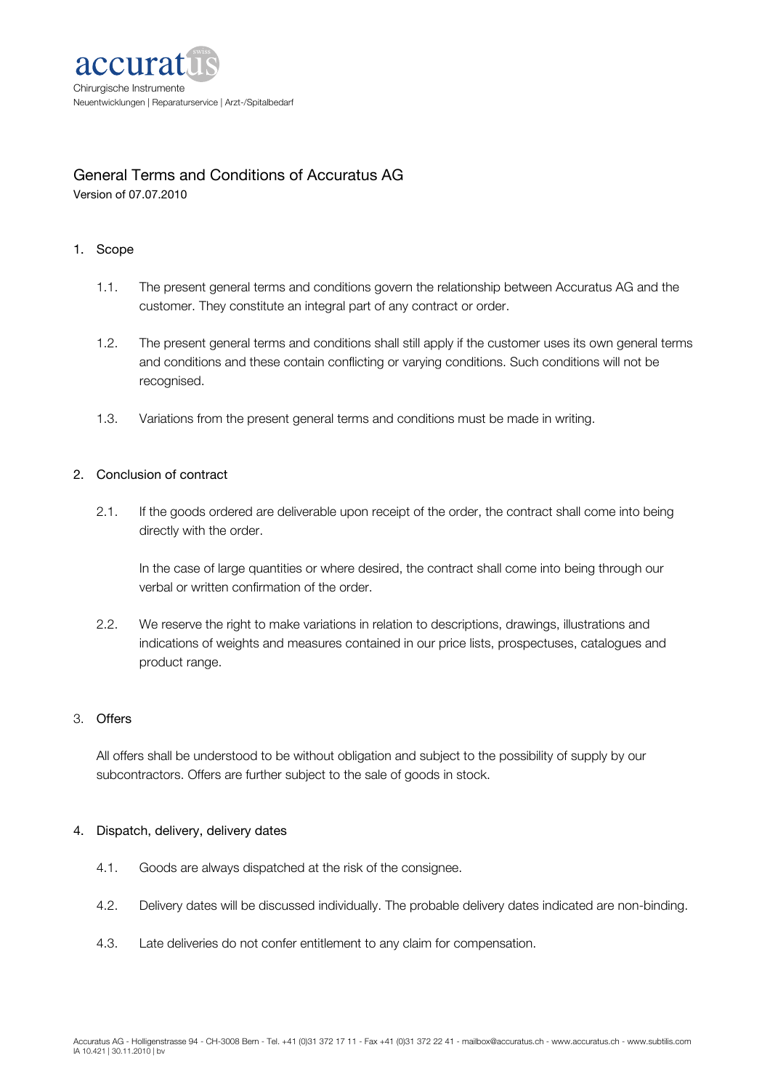

# General Terms and Conditions of Accuratus AG

Version of 07.07.2010

# 1. Scope

- 1.1. The present general terms and conditions govern the relationship between Accuratus AG and the customer. They constitute an integral part of any contract or order.
- 1.2. The present general terms and conditions shall still apply if the customer uses its own general terms and conditions and these contain conflicting or varying conditions. Such conditions will not be recognised.
- 1.3. Variations from the present general terms and conditions must be made in writing.

# 2. Conclusion of contract

2.1. If the goods ordered are deliverable upon receipt of the order, the contract shall come into being directly with the order.

In the case of large quantities or where desired, the contract shall come into being through our verbal or written confirmation of the order.

2.2. We reserve the right to make variations in relation to descriptions, drawings, illustrations and indications of weights and measures contained in our price lists, prospectuses, catalogues and product range.

## 3. Offers

All offers shall be understood to be without obligation and subject to the possibility of supply by our subcontractors. Offers are further subject to the sale of goods in stock.

## 4. Dispatch, delivery, delivery dates

- 4.1. Goods are always dispatched at the risk of the consignee.
- 4.2. Delivery dates will be discussed individually. The probable delivery dates indicated are non-binding.
- 4.3. Late deliveries do not confer entitlement to any claim for compensation.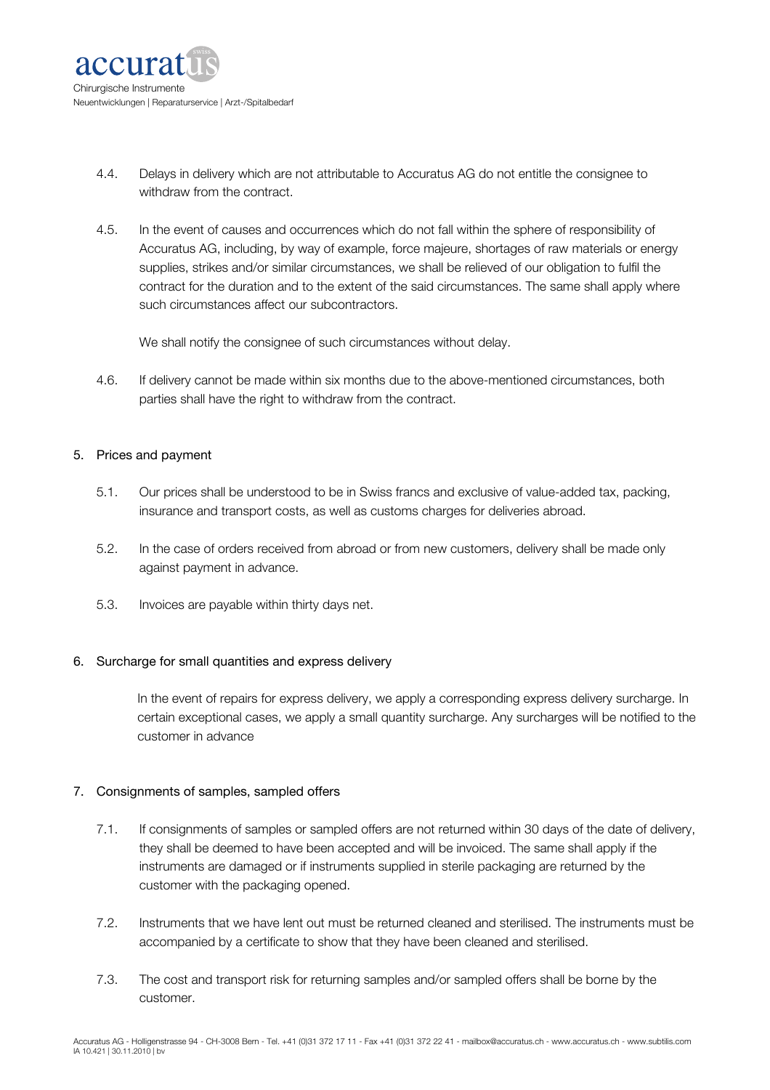

- 4.4. Delays in delivery which are not attributable to Accuratus AG do not entitle the consignee to withdraw from the contract.
- 4.5. In the event of causes and occurrences which do not fall within the sphere of responsibility of Accuratus AG, including, by way of example, force majeure, shortages of raw materials or energy supplies, strikes and/or similar circumstances, we shall be relieved of our obligation to fulfil the contract for the duration and to the extent of the said circumstances. The same shall apply where such circumstances affect our subcontractors.

We shall notify the consignee of such circumstances without delay.

4.6. If delivery cannot be made within six months due to the above-mentioned circumstances, both parties shall have the right to withdraw from the contract.

#### 5. Prices and payment

- 5.1. Our prices shall be understood to be in Swiss francs and exclusive of value-added tax, packing, insurance and transport costs, as well as customs charges for deliveries abroad.
- 5.2. In the case of orders received from abroad or from new customers, delivery shall be made only against payment in advance.
- 5.3. Invoices are payable within thirty days net.

## 6. Surcharge for small quantities and express delivery

In the event of repairs for express delivery, we apply a corresponding express delivery surcharge. In certain exceptional cases, we apply a small quantity surcharge. Any surcharges will be notified to the customer in advance

## 7. Consignments of samples, sampled offers

- 7.1. If consignments of samples or sampled offers are not returned within 30 days of the date of delivery, they shall be deemed to have been accepted and will be invoiced. The same shall apply if the instruments are damaged or if instruments supplied in sterile packaging are returned by the customer with the packaging opened.
- 7.2. Instruments that we have lent out must be returned cleaned and sterilised. The instruments must be accompanied by a certificate to show that they have been cleaned and sterilised.
- 7.3. The cost and transport risk for returning samples and/or sampled offers shall be borne by the customer.